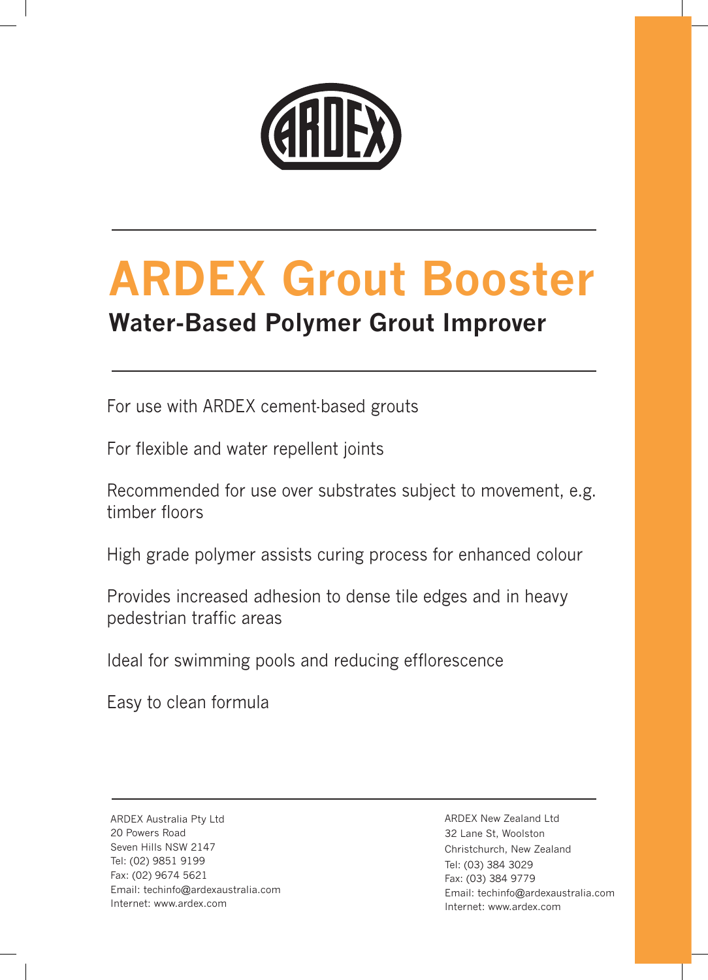

# **ARDEX Grout Booster**

### **Water-Based Polymer Grout Improver**

For use with ARDEX cement-based grouts

For flexible and water repellent joints

Recommended for use over substrates subject to movement, e.g. timber floors

High grade polymer assists curing process for enhanced colour

Provides increased adhesion to dense tile edges and in heavy pedestrian traffic areas

Ideal for swimming pools and reducing efflorescence

Easy to clean formula

ARDEX Australia Pty Ltd 20 Powers Road Seven Hills NSW 2147 Tel: (02) 9851 9199 Fax: (02) 9674 5621 Email: techinfo@ardexaustralia.com Internet: www.ardex.com

ARDEX New Zealand Ltd 32 Lane St, Woolston Christchurch, New Zealand Tel: (03) 384 3029 Fax: (03) 384 9779 Email: techinfo@ardexaustralia.com Internet: www.ardex.com